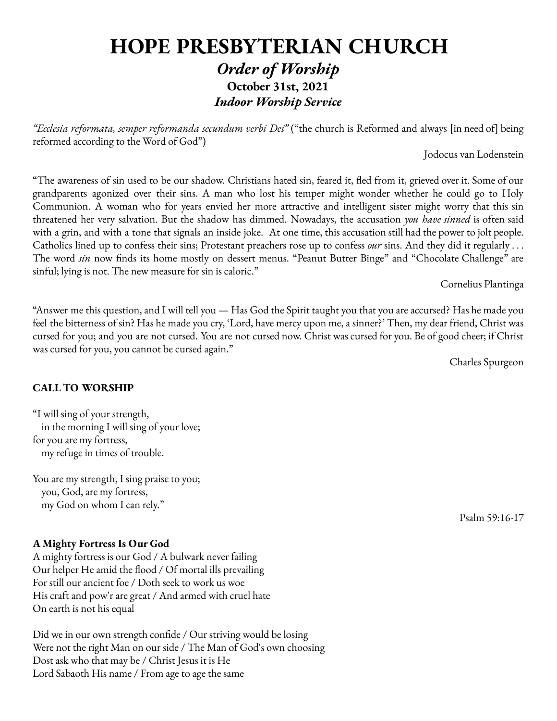# **HOPE PRESBYTERIAN CHURCH** *Order of Worship* **October 31st, 2021** *Indoor Worship Service*

*"Ecclesia reformata, semper reformanda secundum verbi Dei"* ("the church is Reformed and always [in need of] being reformed according to the Word of God")

Jodocus van Lodenstein

"The awareness of sin used to be our shadow. Christians hated sin, feared it, fled from it, grieved over it. Some of our grandparents agonized over their sins. A man who lost his temper might wonder whether he could go to Holy Communion. A woman who for years envied her more attractive and intelligent sister might worry that this sin threatened her very salvation. But the shadow has dimmed. Nowadays, the accusation *you have sinned* is often said with a grin, and with a tone that signals an inside joke. At one time, this accusation still had the power to jolt people. Catholics lined up to confess their sins; Protestant preachers rose up to confess *our* sins. And they did it regularly . . . The word *sin* now finds its home mostly on dessert menus. "Peanut Butter Binge" and "Chocolate Challenge" are sinful; lying is not. The new measure for sin is caloric."

Cornelius Plantinga

"Answer me this question, and I will tell you — Has God the Spirit taught you that you are accursed? Has he made you feel the bitterness of sin? Has he made you cry, 'Lord, have mercy upon me, a sinner?' Then, my dear friend, Christ was cursed for you; and you are not cursed. You are not cursed now. Christ was cursed for you. Be of good cheer; if Christ was cursed for you, you cannot be cursed again."

Charles Spurgeon

## **CALL TO WORSHIP**

"I will sing of your strength, in the morning I will sing of your love; for you are my fortress, my refuge in times of trouble.

You are my strength, I sing praise to you; you, God, are my fortress, my God on whom I can rely."

### **A Mighty Fortress Is Our God**

A mighty fortress is our God / A bulwark never failing Our helper He amid the flood / Of mortal ills prevailing For still our ancient foe / Doth seek to work us woe His craft and pow'r are great / And armed with cruel hate On earth is not his equal

Did we in our own strength confide / Our striving would be losing Were not the right Man on our side / The Man of God's own choosing Dost ask who that may be / Christ Jesus it is He Lord Sabaoth His name / From age to age the same

Psalm 59:16-17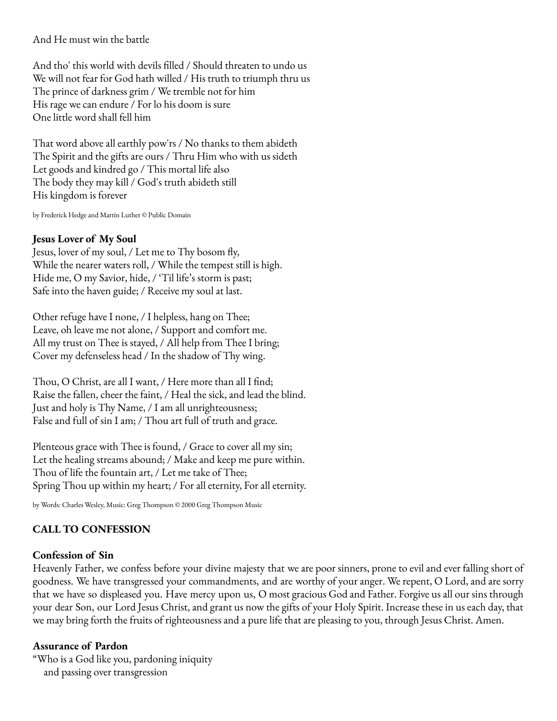### And He must win the battle

And tho' this world with devils filled / Should threaten to undo us We will not fear for God hath willed / His truth to triumph thru us The prince of darkness grim / We tremble not for him His rage we can endure / For lo his doom is sure One little word shall fell him

That word above all earthly pow'rs / No thanks to them abideth The Spirit and the gifts are ours / Thru Him who with us sideth Let goods and kindred go / This mortal life also The body they may kill / God's truth abideth still His kingdom is forever

by Frederick Hedge and Martin Luther © Public Domain

### **Jesus Lover of My Soul**

Jesus, lover of my soul, / Let me to Thy bosom fly, While the nearer waters roll, / While the tempest still is high. Hide me, O my Savior, hide, / 'Til life's storm is past; Safe into the haven guide; / Receive my soul at last.

Other refuge have I none, / I helpless, hang on Thee; Leave, oh leave me not alone, / Support and comfort me. All my trust on Thee is stayed, / All help from Thee I bring; Cover my defenseless head / In the shadow of Thy wing.

Thou, O Christ, are all I want, / Here more than all I find; Raise the fallen, cheer the faint, / Heal the sick, and lead the blind. Just and holy is Thy Name, / I am all unrighteousness; False and full of sin I am; / Thou art full of truth and grace.

Plenteous grace with Thee is found, / Grace to cover all my sin; Let the healing streams abound; / Make and keep me pure within. Thou of life the fountain art, / Let me take of Thee; Spring Thou up within my heart; / For all eternity, For all eternity.

by Words: Charles Wesley, Music: Greg Thompson © 2000 Greg Thompson Music

## **CALL TO CONFESSION**

### **Confession of Sin**

Heavenly Father, we confess before your divine majesty that we are poor sinners, prone to evil and ever falling short of goodness. We have transgressed your commandments, and are worthy of your anger. We repent, O Lord, and are sorry that we have so displeased you. Have mercy upon us, O most gracious God and Father. Forgive us all our sins through your dear Son, our Lord Jesus Christ, and grant us now the gifts of your Holy Spirit. Increase these in us each day, that we may bring forth the fruits of righteousness and a pure life that are pleasing to you, through Jesus Christ. Amen.

### **Assurance of Pardon**

"Who is a God like you, pardoning iniquity and passing over transgression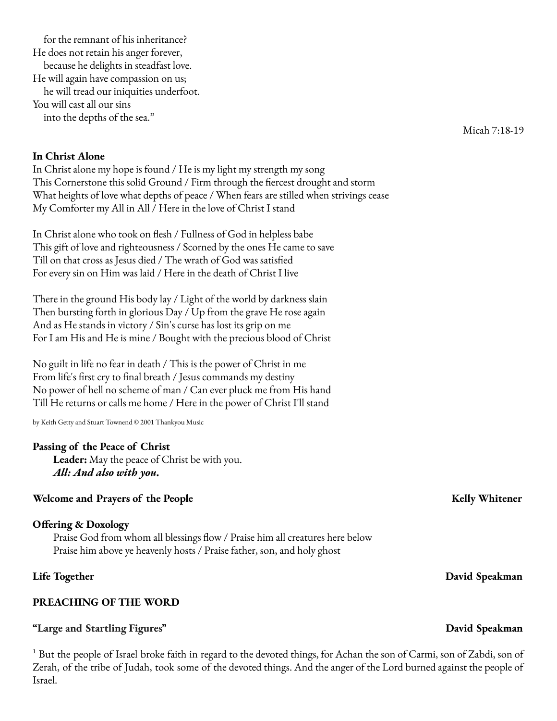for the remnant of his inheritance? He does not retain his anger forever, because he delights in steadfast love. He will again have compassion on us; he will tread our iniquities underfoot. You will cast all our sins into the depths of the sea."

**In Christ Alone**

In Christ alone my hope is found / He is my light my strength my song This Cornerstone this solid Ground / Firm through the fiercest drought and storm What heights of love what depths of peace / When fears are stilled when strivings cease My Comforter my All in All / Here in the love of Christ I stand

In Christ alone who took on flesh / Fullness of God in helpless babe This gift of love and righteousness / Scorned by the ones He came to save Till on that cross as Jesus died / The wrath of God was satisfied For every sin on Him was laid / Here in the death of Christ I live

There in the ground His body lay / Light of the world by darkness slain Then bursting forth in glorious Day / Up from the grave He rose again And as He stands in victory / Sin's curse has lost its grip on me For I am His and He is mine / Bought with the precious blood of Christ

No guilt in life no fear in death / This is the power of Christ in me From life's first cry to final breath / Jesus commands my destiny No power of hell no scheme of man / Can ever pluck me from His hand Till He returns or calls me home / Here in the power of Christ I'll stand

by Keith Getty and Stuart Townend © 2001 Thankyou Music

### **Passing of the Peace of Christ**

**Leader:** May the peace of Christ be with you. *All: And also with you.*

### **Welcome and Prayers of the People Kelly Whitener**

### **Offering & Doxology**

Praise God from whom all blessings flow / Praise him all creatures here below Praise him above ye heavenly hosts / Praise father, son, and holy ghost

### **PREACHING OF THE WORD**

### **"Large and Startling Figures" David Speakman**

<sup>1</sup> But the people of Israel broke faith in regard to the devoted things, for Achan the son of Carmi, son of Zabdi, son of Zerah, of the tribe of Judah, took some of the devoted things. And the anger of the Lord burned against the people of Israel.

Micah 7:18-19

### **Life Together David Speakman**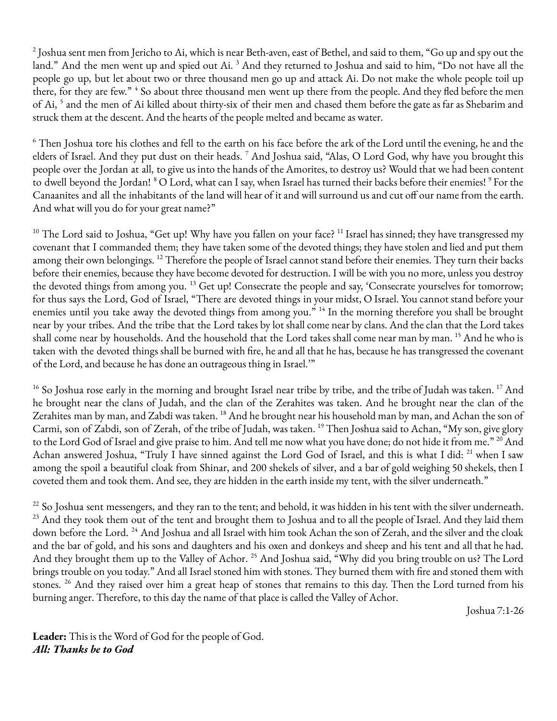$^2$  Joshua sent men from Jericho to Ai, which is near Beth-aven, east of Bethel, and said to them, "Go up and spy out the land." And the men went up and spied out Ai. <sup>3</sup> And they returned to Joshua and said to him, "Do not have all the people go up, but let about two or three thousand men go up and attack Ai. Do not make the whole people toil up there, for they are few." <sup>4</sup> So about three thousand men went up there from the people. And they fled before the men of Ai, <sup>5</sup> and the men of Ai killed about thirty-six of their men and chased them before the gate as far as Shebarim and struck them at the descent. And the hearts of the people melted and became as water.

<sup>6</sup> Then Joshua tore his clothes and fell to the earth on his face before the ark of the Lord until the evening, he and the elders of Israel. And they put dust on their heads. <sup>7</sup> And Joshua said, "Alas, O Lord God, why have you brought this people over the Jordan at all, to give us into the hands of the Amorites, to destroy us? Would that we had been content to dwell beyond the Jordan!  $^8$  O Lord, what can I say, when Israel has turned their backs before their enemies!  $^9$  For the Canaanites and all the inhabitants of the land will hear of it and will surround us and cut off our name from the earth. And what will you do for your great name?"

 $^{10}$  The Lord said to Joshua, "Get up! Why have you fallen on your face?  $^{11}$  Israel has sinned; they have transgressed my covenant that I commanded them; they have taken some of the devoted things; they have stolen and lied and put them among their own belongings. <sup>12</sup> Therefore the people of Israel cannot stand before their enemies. They turn their backs before their enemies, because they have become devoted for destruction. I will be with you no more, unless you destroy the devoted things from among you. <sup>13</sup> Get up! Consecrate the people and say, 'Consecrate yourselves for tomorrow; for thus says the Lord, God of Israel, "There are devoted things in your midst, O Israel. You cannot stand before your enemies until you take away the devoted things from among you." <sup>14</sup> In the morning therefore you shall be brought near by your tribes. And the tribe that the Lord takes by lot shall come near by clans. And the clan that the Lord takes shall come near by households. And the household that the Lord takes shall come near man by man. <sup>15</sup> And he who is taken with the devoted things shall be burned with fire, he and all that he has, because he has transgressed the covenant of the Lord, and because he has done an outrageous thing in Israel.'"

 $^{16}$  So Joshua rose early in the morning and brought Israel near tribe by tribe, and the tribe of Judah was taken.  $^{17}$  And he brought near the clans of Judah, and the clan of the Zerahites was taken. And he brought near the clan of the Zerahites man by man, and Zabdi was taken. <sup>18</sup> And he brought near his household man by man, and Achan the son of Carmi, son of Zabdi, son of Zerah, of the tribe of Judah, was taken. <sup>19</sup> Then Joshua said to Achan, "My son, give glory to the Lord God of Israel and give praise to him. And tell me now what you have done; do not hide it from me."<sup>20</sup> And Achan answered Joshua, "Truly I have sinned against the Lord God of Israel, and this is what I did: <sup>21</sup> when I saw among the spoil a beautiful cloak from Shinar, and 200 shekels of silver, and a bar of gold weighing 50 shekels, then I coveted them and took them. And see, they are hidden in the earth inside my tent, with the silver underneath."

 $22$  So Joshua sent messengers, and they ran to the tent; and behold, it was hidden in his tent with the silver underneath. <sup>23</sup> And they took them out of the tent and brought them to Joshua and to all the people of Israel. And they laid them down before the Lord. <sup>24</sup> And Joshua and all Israel with him took Achan the son of Zerah, and the silver and the cloak and the bar of gold, and his sons and daughters and his oxen and donkeys and sheep and his tent and all that he had. And they brought them up to the Valley of Achor. <sup>25</sup> And Joshua said, "Why did you bring trouble on us? The Lord brings trouble on you today." And all Israel stoned him with stones. They burned them with fire and stoned them with stones.  $^{26}$  And they raised over him a great heap of stones that remains to this day. Then the Lord turned from his burning anger. Therefore, to this day the name of that place is called the Valley of Achor.

Joshua 7:1-26

**Leader:** This is the Word of God for the people of God. *All: Thanks be to God*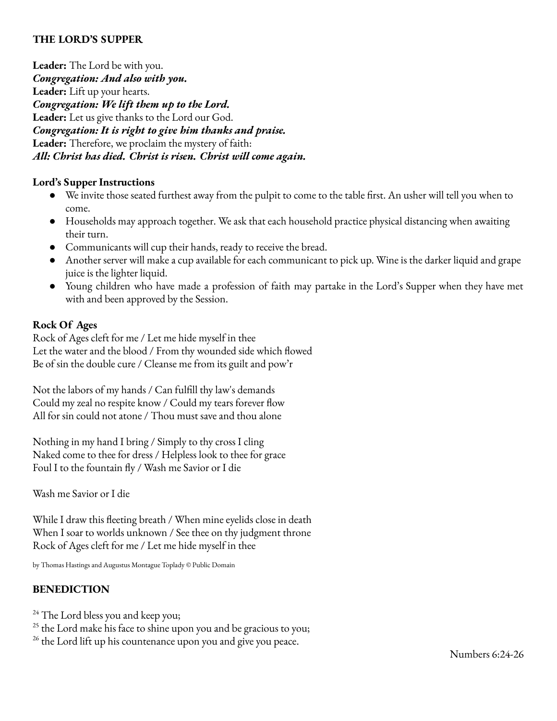# **THE LORD'S SUPPER**

**Leader:** The Lord be with you. *Congregation: And also with you.* **Leader:** Lift up your hearts. *Congregation: We lift them up to the Lord.* **Leader:** Let us give thanks to the Lord our God. *Congregation: It is right to give him thanks and praise.* **Leader:** Therefore, we proclaim the mystery of faith: *All: Christ has died. Christ is risen. Christ will come again.*

# **Lord's Supper Instructions**

- We invite those seated furthest away from the pulpit to come to the table first. An usher will tell you when to come.
- Households may approach together. We ask that each household practice physical distancing when awaiting their turn.
- Communicants will cup their hands, ready to receive the bread.
- Another server will make a cup available for each communicant to pick up. Wine is the darker liquid and grape juice is the lighter liquid.
- Young children who have made a profession of faith may partake in the Lord's Supper when they have met with and been approved by the Session.

# **Rock Of Ages**

Rock of Ages cleft for me / Let me hide myself in thee Let the water and the blood / From thy wounded side which flowed Be of sin the double cure / Cleanse me from its guilt and pow'r

Not the labors of my hands / Can fulfill thy law's demands Could my zeal no respite know / Could my tears forever flow All for sin could not atone / Thou must save and thou alone

Nothing in my hand I bring / Simply to thy cross I cling Naked come to thee for dress / Helpless look to thee for grace Foul I to the fountain fly / Wash me Savior or I die

Wash me Savior or I die

While I draw this fleeting breath / When mine eyelids close in death When I soar to worlds unknown / See thee on thy judgment throne Rock of Ages cleft for me / Let me hide myself in thee

by Thomas Hastings and Augustus Montague Toplady © Public Domain

# **BENEDICTION**

- <sup>24</sup> The Lord bless you and keep you;
- $^{25}$  the Lord make his face to shine upon you and be gracious to you;
- $26$  the Lord lift up his countenance upon you and give you peace.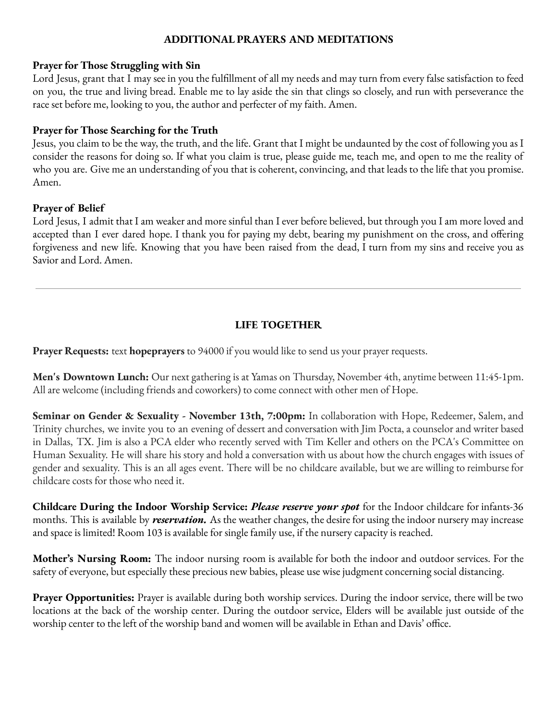# **ADDITIONAL PRAYERS AND MEDITATIONS**

### **Prayer for Those Struggling with Sin**

Lord Jesus, grant that I may see in you the fulfillment of all my needs and may turn from every false satisfaction to feed on you, the true and living bread. Enable me to lay aside the sin that clings so closely, and run with perseverance the race set before me, looking to you, the author and perfecter of my faith. Amen.

# **Prayer for Those Searching for the Truth**

Jesus, you claim to be the way, the truth, and the life. Grant that I might be undaunted by the cost of following you as I consider the reasons for doing so. If what you claim is true, please guide me, teach me, and open to me the reality of who you are. Give me an understanding of you that is coherent, convincing, and that leads to the life that you promise. Amen.

# **Prayer of Belief**

Lord Jesus, I admit that I am weaker and more sinful than I ever before believed, but through you I am more loved and accepted than I ever dared hope. I thank you for paying my debt, bearing my punishment on the cross, and offering forgiveness and new life. Knowing that you have been raised from the dead, I turn from my sins and receive you as Savior and Lord. Amen.

# **LIFE TOGETHER**

**Prayer Requests:** text **hopeprayers** to 94000 if you would like to send us your prayer requests.

**Men's Downtown Lunch:** Our next gathering is at Yamas on Thursday, November 4th, anytime between 11:45-1pm. All are welcome (including friends and coworkers) to come connect with other men of Hope.

**Seminar on Gender & Sexuality - November 13th, 7:00pm:** In collaboration with Hope, Redeemer, Salem, and Trinity churches, we invite you to an evening of dessert and conversation with Jim Pocta, a counselor and writer based in Dallas, TX. Jim is also a PCA elder who recently served with Tim Keller and others on the PCA's Committee on Human Sexuality. He will share his story and hold a conversation with us about how the church engages with issues of gender and sexuality. This is an all ages event. There will be no childcare available, but we are willing to reimburse for childcare costs for those who need it.

**Childcare During the Indoor Worship Service:** *Please reserve your spot* for the Indoor childcare for infants-36 months. This is available by *reservation.* As the weather changes, the desire for using the indoor nursery may increase and space is limited! Room 103 is available for single family use, if the nursery capacity is reached.

**Mother's Nursing Room:** The indoor nursing room is available for both the indoor and outdoor services. For the safety of everyone, but especially these precious new babies, please use wise judgment concerning social distancing.

**Prayer Opportunities:** Prayer is available during both worship services. During the indoor service, there will be two locations at the back of the worship center. During the outdoor service, Elders will be available just outside of the worship center to the left of the worship band and women will be available in Ethan and Davis' office.